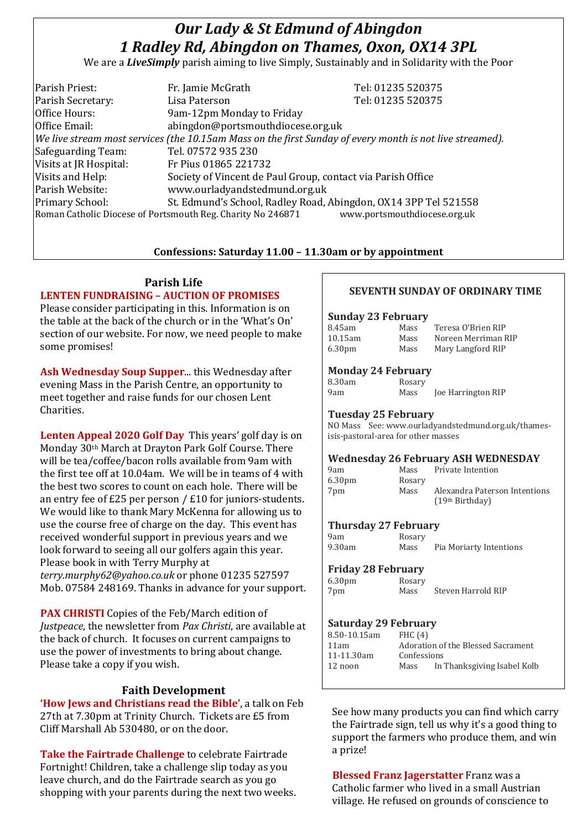# *Our Lady & St Edmund of Abingdon 1 Radley Rd, Abingdon on Thames, Oxon, OX14 3PL*

We are a *LiveSimply* parish aiming to live Simply, Sustainably and in Solidarity with the Poor

| Parish Priest:         | Fr. Jamie McGrath                                                                                        | Tel: 01235 520375            |
|------------------------|----------------------------------------------------------------------------------------------------------|------------------------------|
| Parish Secretary:      | Lisa Paterson                                                                                            | Tel: 01235 520375            |
| Office Hours:          | 9am-12pm Monday to Friday                                                                                |                              |
| Office Email:          | abingdon@portsmouthdiocese.org.uk                                                                        |                              |
|                        | We live stream most services (the 10.15am Mass on the first Sunday of every month is not live streamed). |                              |
| Safeguarding Team:     | Tel. 07572 935 230                                                                                       |                              |
| Visits at JR Hospital: | Fr Pius 01865 221732                                                                                     |                              |
| Visits and Help:       | Society of Vincent de Paul Group, contact via Parish Office                                              |                              |
| Parish Website:        | www.ourladyandstedmund.org.uk                                                                            |                              |
| Primary School:        | St. Edmund's School, Radley Road, Abingdon, OX14 3PP Tel 521558                                          |                              |
|                        | Roman Catholic Diocese of Portsmouth Reg. Charity No 246871                                              | www.portsmouthdiocese.org.uk |

## **Confessions: Saturday 11.00 – 11.30am or by appointment**

## **Parish Life**

## **LENTEN FUNDRAISING – AUCTION OF PROMISES**

Please consider participating in this. Information is on the table at the back of the church or in the 'What's On' section of our website. For now, we need people to make some promises!

**Ash Wednesday Soup Supper**... this Wednesday after evening Mass in the Parish Centre, an opportunity to meet together and raise funds for our chosen Lent Charities.

**Lenten Appeal 2020 Golf Day** This years' golf day is on Monday 30th March at Drayton Park Golf Course. There will be tea/coffee/bacon rolls available from 9am with the first tee off at 10.04am. We will be in teams of 4 with the best two scores to count on each hole. There will be an entry fee of £25 per person / £10 for juniors-students. We would like to thank Mary McKenna for allowing us to use the course free of charge on the day. This event has received wonderful support in previous years and we look forward to seeing all our golfers again this year. Please book in with Terry Murphy at *terry.murphy62@yahoo.co.uk* or phone 01235 527597 Mob. 07584 248169. Thanks in advance for your support.

**PAX CHRISTI** Copies of the Feb/March edition of *Justpeace*, the newsletter from *Pax Christi*, are available at the back of church. It focuses on current campaigns to use the power of investments to bring about change. Please take a copy if you wish.

# **Faith Development**

**'How Jews and Christians read the Bible'**, a talk on Feb 27th at 7.30pm at Trinity Church. Tickets are £5 from Cliff Marshall Ab 530480, or on the door.

**Take the Fairtrade Challenge** to celebrate Fairtrade Fortnight! Children, take a challenge slip today as you leave church, and do the Fairtrade search as you go shopping with your parents during the next two weeks.

# **SEVENTH SUNDAY OF ORDINARY TIME**

#### **Sunday 23 February**

| 8.45am             | Mass | Teresa O'Brien RIP  |
|--------------------|------|---------------------|
| 10.15am            | Mass | Noreen Merriman RIP |
| 6.30 <sub>pm</sub> | Mass | Mary Langford RIP   |

#### **Monday 24 February**

| 8.30am | Rosary |                           |
|--------|--------|---------------------------|
| 9am    | Mass   | <b>Joe Harrington RIP</b> |

#### **Tuesday 25 February**

NO Mass See: www.ourladyandstedmund.org.uk/thamesisis-pastoral-area for other masses

|                    |        | <b>Wednesday 26 February ASH WEDNESDAY</b> |
|--------------------|--------|--------------------------------------------|
| 9am                |        | Mass Private Intention                     |
| 6.30 <sub>pm</sub> | Rosary |                                            |
| 7pm                | Mass   | Alexandra Paterson Intentions              |
|                    |        | (19 <sup>th</sup> Birthday)                |

#### **Thursday 27 February**

| 9am    |  |
|--------|--|
| 9.30am |  |

Rosary Mass Pia Moriarty Intentions

#### **Friday 28 February**

6.30pm Rosary 7pm Mass Steven Harrold RIP

# **Saturday 29 February**

| 8.50-10.15am | FHC(4)                             |                             |
|--------------|------------------------------------|-----------------------------|
| 11am         | Adoration of the Blessed Sacrament |                             |
| 11-11.30am   | Confessions                        |                             |
| 12 noon      | Mass                               | In Thanksgiving Isabel Kolb |
|              |                                    |                             |

See how many products you can find which carry the Fairtrade sign, tell us why it's a good thing to support the farmers who produce them, and win a prize!

**Blessed Franz Jagerstatter** Franz was a Catholic farmer who lived in a small Austrian village. He refused on grounds of conscience to